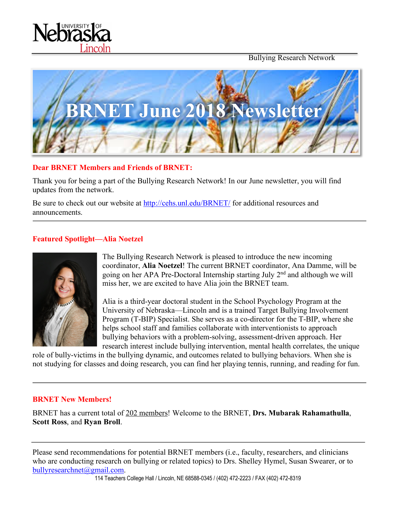



#### **Dear BRNET Members and Friends of BRNET:**

incoln

Thank you for being a part of the Bullying Research Network! In our June newsletter, you will find updates from the network.

Be sure to check out our website at http://cehs.unl.edu/BRNET/ for additional resources and announcements.

#### **Featured Spotlight—Alia Noetzel**



The Bullying Research Network is pleased to introduce the new incoming coordinator, **Alia Noetzel**! The current BRNET coordinator, Ana Damme, will be going on her APA Pre-Doctoral Internship starting July 2nd and although we will miss her, we are excited to have Alia join the BRNET team.

Alia is a third-year doctoral student in the School Psychology Program at the University of Nebraska—Lincoln and is a trained Target Bullying Involvement Program (T-BIP) Specialist. She serves as a co-director for the T-BIP, where she helps school staff and families collaborate with interventionists to approach bullying behaviors with a problem-solving, assessment-driven approach. Her research interest include bullying intervention, mental health correlates, the unique

role of bully-victims in the bullying dynamic, and outcomes related to bullying behaviors. When she is not studying for classes and doing research, you can find her playing tennis, running, and reading for fun.

#### **BRNET New Members!**

BRNET has a current total of 202 members! Welcome to the BRNET, **Drs. Mubarak Rahamathulla**, **Scott Ross**, and **Ryan Broll**.

Please send recommendations for potential BRNET members (i.e., faculty, researchers, and clinicians who are conducting research on bullying or related topics) to Drs. Shelley Hymel, Susan Swearer, or to bullyresearchnet@gmail.com.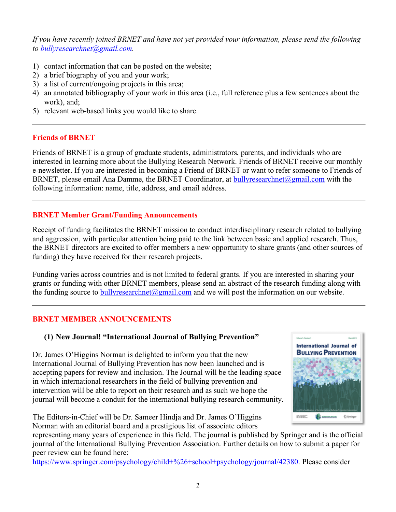*If you have recently joined BRNET and have not yet provided your information, please send the following to bullyresearchnet@gmail.com.*

- 1) contact information that can be posted on the website;
- 2) a brief biography of you and your work;
- 3) a list of current/ongoing projects in this area;
- 4) an annotated bibliography of your work in this area (i.e., full reference plus a few sentences about the work), and;
- 5) relevant web-based links you would like to share.

### **Friends of BRNET**

Friends of BRNET is a group of graduate students, administrators, parents, and individuals who are interested in learning more about the Bullying Research Network. Friends of BRNET receive our monthly e-newsletter. If you are interested in becoming a Friend of BRNET or want to refer someone to Friends of BRNET, please email Ana Damme, the BRNET Coordinator, at bullyresearchnet@gmail.com with the following information: name, title, address, and email address.

# **BRNET Member Grant/Funding Announcements**

Receipt of funding facilitates the BRNET mission to conduct interdisciplinary research related to bullying and aggression, with particular attention being paid to the link between basic and applied research. Thus, the BRNET directors are excited to offer members a new opportunity to share grants (and other sources of funding) they have received for their research projects.

Funding varies across countries and is not limited to federal grants. If you are interested in sharing your grants or funding with other BRNET members, please send an abstract of the research funding along with the funding source to bully research net  $\omega$  gmail.com and we will post the information on our website.

# **BRNET MEMBER ANNOUNCEMENTS**

# **(1) New Journal! "International Journal of Bullying Prevention"**

Dr. James O'Higgins Norman is delighted to inform you that the new International Journal of Bullying Prevention has now been launched and is accepting papers for review and inclusion. The Journal will be the leading space in which international researchers in the field of bullying prevention and intervention will be able to report on their research and as such we hope the journal will become a conduit for the international bullying research community.

The Editors-in-Chief will be Dr. Sameer Hindja and Dr. James O'Higgins Norman with an editorial board and a prestigious list of associate editors

representing many years of experience in this field. The journal is published by Springer and is the official journal of the International Bullying Prevention Association. Further details on how to submit a paper for peer review can be found here:

https://www.springer.com/psychology/child+%26+school+psychology/journal/42380. Please consider

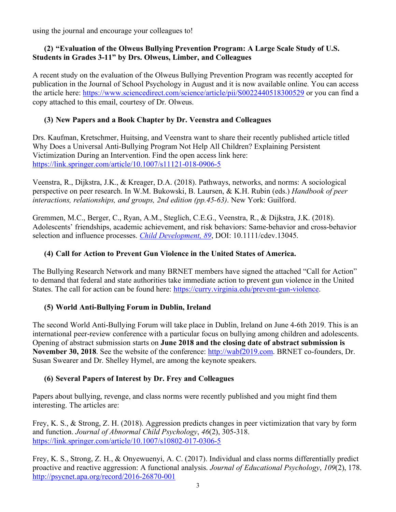using the journal and encourage your colleagues to!

#### **(2) "Evaluation of the Olweus Bullying Prevention Program: A Large Scale Study of U.S. Students in Grades 3-11" by Drs. Olweus, Limber, and Colleagues**

A recent study on the evaluation of the Olweus Bullying Prevention Program was recently accepted for publication in the Journal of School Psychology in August and it is now available online. You can access the article here: https://www.sciencedirect.com/science/article/pii/S0022440518300529 or you can find a copy attached to this email, courtesy of Dr. Olweus.

# **(3) New Papers and a Book Chapter by Dr. Veenstra and Colleagues**

Drs. Kaufman, Kretschmer, Huitsing, and Veenstra want to share their recently published article titled Why Does a Universal Anti-Bullying Program Not Help All Children? Explaining Persistent Victimization During an Intervention. Find the open access link here: https://link.springer.com/article/10.1007/s11121-018-0906-5

Veenstra, R., Dijkstra, J.K., & Kreager, D.A. (2018). Pathways, networks, and norms: A sociological perspective on peer research. In W.M. Bukowski, B. Laursen, & K.H. Rubin (eds.) *Handbook of peer interactions, relationships, and groups, 2nd edition (pp.45-63)*. New York: Guilford.

Gremmen, M.C., Berger, C., Ryan, A.M., Steglich, C.E.G., Veenstra, R., & Dijkstra, J.K. (2018). Adolescents' friendships, academic achievement, and risk behaviors: Same-behavior and cross-behavior selection and influence processes. *Child Development, 89*, DOI: 10.1111/cdev.13045.

### **(4) Call for Action to Prevent Gun Violence in the United States of America.**

The Bullying Research Network and many BRNET members have signed the attached "Call for Action" to demand that federal and state authorities take immediate action to prevent gun violence in the United States. The call for action can be found here: https://curry.virginia.edu/prevent-gun-violence.

### **(5) World Anti-Bullying Forum in Dublin, Ireland**

The second World Anti-Bullying Forum will take place in Dublin, Ireland on June 4-6th 2019. This is an international peer-review conference with a particular focus on bullying among children and adolescents. Opening of abstract submission starts on **June 2018 and the closing date of abstract submission is November 30, 2018**. See the website of the conference: http://wabf2019.com. BRNET co-founders, Dr. Susan Swearer and Dr. Shelley Hymel, are among the keynote speakers.

### **(6) Several Papers of Interest by Dr. Frey and Colleagues**

Papers about bullying, revenge, and class norms were recently published and you might find them interesting. The articles are:

Frey, K. S., & Strong, Z. H. (2018). Aggression predicts changes in peer victimization that vary by form and function. *Journal of Abnormal Child Psychology*, *46*(2), 305-318. https://link.springer.com/article/10.1007/s10802-017-0306-5

Frey, K. S., Strong, Z. H., & Onyewuenyi, A. C. (2017). Individual and class norms differentially predict proactive and reactive aggression: A functional analysis. *Journal of Educational Psychology*, *109*(2), 178. http://psycnet.apa.org/record/2016-26870-001